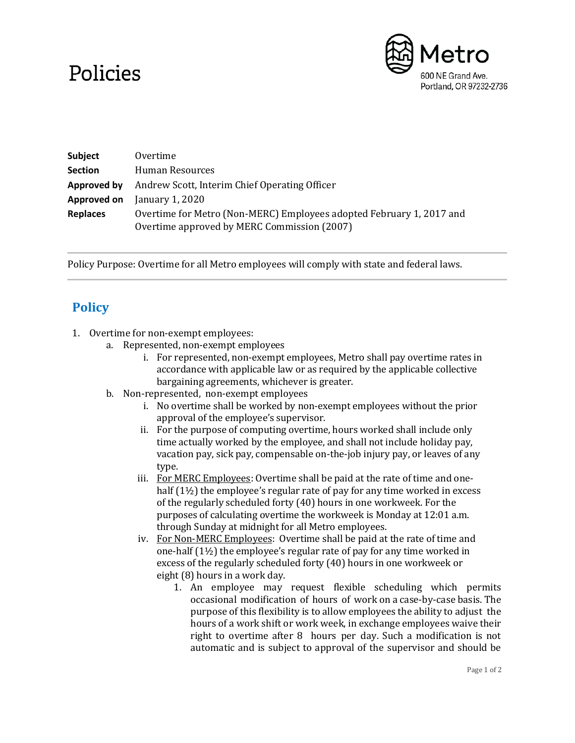## Policies



| <b>Subject</b>  | Overtime                                                                                                            |
|-----------------|---------------------------------------------------------------------------------------------------------------------|
| <b>Section</b>  | Human Resources                                                                                                     |
| Approved by     | Andrew Scott, Interim Chief Operating Officer                                                                       |
| Approved on     | January 1, 2020                                                                                                     |
| <b>Replaces</b> | Overtime for Metro (Non-MERC) Employees adopted February 1, 2017 and<br>Overtime approved by MERC Commission (2007) |

Policy Purpose: Overtime for all Metro employees will comply with state and federal laws.

## **Policy**

- 1. Overtime for non-exempt employees:
	- a. Represented, non-exempt employees
		- i. For represented, non-exempt employees, Metro shall pay overtime rates in accordance with applicable law or as required by the applicable collective bargaining agreements, whichever is greater.
	- b. Non-represented, non-exempt employees
		- i. No overtime shall be worked by non-exempt employees without the prior approval of the employee's supervisor.
		- ii. For the purpose of computing overtime, hours worked shall include only time actually worked by the employee, and shall not include holiday pay, vacation pay, sick pay, compensable on-the-job injury pay, or leaves of any type.
		- iii. For MERC Employees: Overtime shall be paid at the rate of time and onehalf (1½) the employee's regular rate of pay for any time worked in excess of the regularly scheduled forty (40) hours in one workweek. For the purposes of calculating overtime the workweek is Monday at 12:01 a.m. through Sunday at midnight for all Metro employees.
		- iv. For Non-MERC Employees: Overtime shall be paid at the rate of time and one-half (1½) the employee's regular rate of pay for any time worked in excess of the regularly scheduled forty (40) hours in one workweek or eight (8) hours in a work day.
			- 1. An employee may request flexible scheduling which permits occasional modification of hours of work on a case-by-case basis. The purpose of this flexibility is to allow employees the ability to adjust the hours of a work shift or work week, in exchange employees waive their right to overtime after 8 hours per day. Such a modification is not automatic and is subject to approval of the supervisor and should be